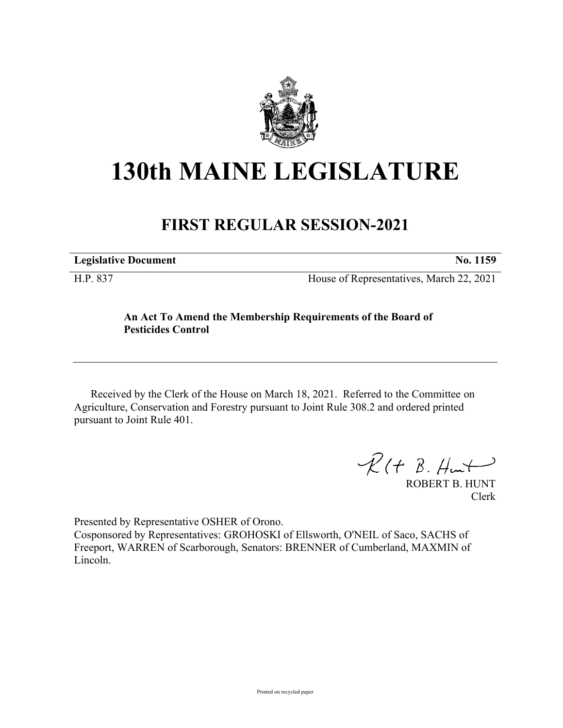

## **130th MAINE LEGISLATURE**

## **FIRST REGULAR SESSION-2021**

**Legislative Document No. 1159**

H.P. 837 House of Representatives, March 22, 2021

## **An Act To Amend the Membership Requirements of the Board of Pesticides Control**

Received by the Clerk of the House on March 18, 2021. Referred to the Committee on Agriculture, Conservation and Forestry pursuant to Joint Rule 308.2 and ordered printed pursuant to Joint Rule 401.

 $R(H B. H<sub>un</sub>+)$ 

ROBERT B. HUNT Clerk

Presented by Representative OSHER of Orono. Cosponsored by Representatives: GROHOSKI of Ellsworth, O'NEIL of Saco, SACHS of Freeport, WARREN of Scarborough, Senators: BRENNER of Cumberland, MAXMIN of Lincoln.